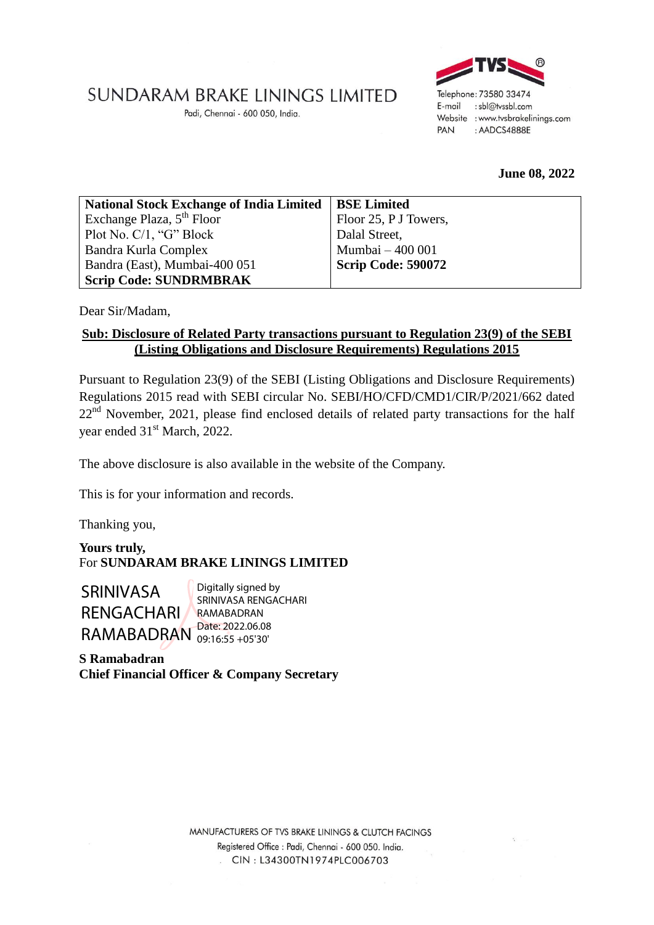## SUNDARAM BRAKE LININGS LIMITED

Padi, Chennai - 600 050, India.



## **June 08, 2022**

| National Stock Exchange of India Limited   BSE Limited |                           |
|--------------------------------------------------------|---------------------------|
| Exchange Plaza, $5th$ Floor                            | Floor 25, P J Towers,     |
| Plot No. C/1, "G" Block                                | Dalal Street,             |
| Bandra Kurla Complex                                   | Mumbai - 400 001          |
| Bandra (East), Mumbai-400 051                          | <b>Scrip Code: 590072</b> |
| <b>Scrip Code: SUNDRMBRAK</b>                          |                           |

Dear Sir/Madam,

## **Sub: Disclosure of Related Party transactions pursuant to Regulation 23(9) of the SEBI (Listing Obligations and Disclosure Requirements) Regulations 2015**

Pursuant to Regulation 23(9) of the SEBI (Listing Obligations and Disclosure Requirements) Regulations 2015 read with SEBI circular No. SEBI/HO/CFD/CMD1/CIR/P/2021/662 dated  $22<sup>nd</sup>$  November, 2021, please find enclosed details of related party transactions for the half year ended 31<sup>st</sup> March, 2022.

The above disclosure is also available in the website of the Company.

This is for your information and records.

Thanking you,

**Yours truly,** For **SUNDARAM BRAKE LININGS LIMITED**

SRINIVASA RENGACHARI RAMABADRAN Date: 2022.06.08

Digitally signed by SRINIVASA RENGACHARI RAMABADRAN 09:16:55 +05'30'

**S Ramabadran Chief Financial Officer & Company Secretary**

> MANUFACTURERS OF TVS BRAKE LININGS & CLUTCH FACINGS Registered Office : Padi, Chennai - 600 050. India. CIN: L34300TN1974PLC006703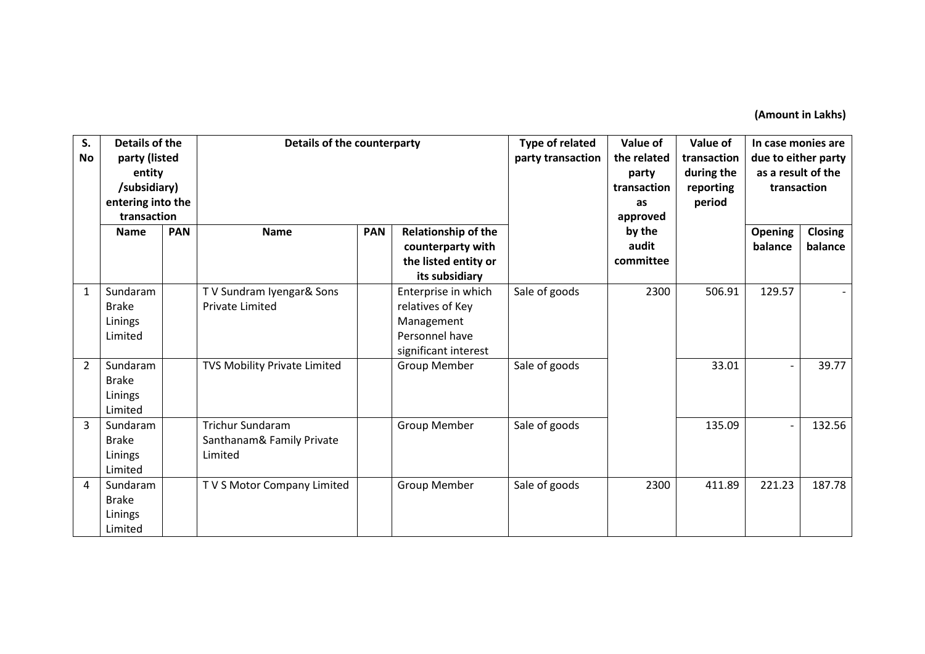**(Amount in Lakhs)**

| S.<br>No       | <b>Details of the</b><br>party (listed<br>entity<br>/subsidiary)<br>entering into the<br>transaction |            | Details of the counterparty                                     |            | <b>Type of related</b><br>party transaction                                                     | Value of<br>the related<br>party<br>transaction<br>as<br>approved | Value of<br>transaction<br>during the<br>reporting<br>period | In case monies are<br>due to either party<br>as a result of the<br>transaction |                          |                    |
|----------------|------------------------------------------------------------------------------------------------------|------------|-----------------------------------------------------------------|------------|-------------------------------------------------------------------------------------------------|-------------------------------------------------------------------|--------------------------------------------------------------|--------------------------------------------------------------------------------|--------------------------|--------------------|
|                | <b>Name</b>                                                                                          | <b>PAN</b> | <b>Name</b>                                                     | <b>PAN</b> | <b>Relationship of the</b><br>counterparty with<br>the listed entity or<br>its subsidiary       |                                                                   | by the<br>audit<br>committee                                 |                                                                                | Opening<br>balance       | Closing<br>balance |
| 1              | Sundaram<br><b>Brake</b><br>Linings<br>Limited                                                       |            | TV Sundram Iyengar& Sons<br><b>Private Limited</b>              |            | Enterprise in which<br>relatives of Key<br>Management<br>Personnel have<br>significant interest | Sale of goods                                                     | 2300                                                         | 506.91                                                                         | 129.57                   |                    |
| $\overline{2}$ | Sundaram<br><b>Brake</b><br>Linings<br>Limited                                                       |            | TVS Mobility Private Limited                                    |            | <b>Group Member</b>                                                                             | Sale of goods                                                     |                                                              | 33.01                                                                          |                          | 39.77              |
| 3              | Sundaram<br><b>Brake</b><br>Linings<br>Limited                                                       |            | <b>Trichur Sundaram</b><br>Santhanam& Family Private<br>Limited |            | Group Member                                                                                    | Sale of goods                                                     |                                                              | 135.09                                                                         | $\overline{\phantom{0}}$ | 132.56             |
| $\overline{4}$ | Sundaram<br><b>Brake</b><br>Linings<br>Limited                                                       |            | TV S Motor Company Limited                                      |            | <b>Group Member</b>                                                                             | Sale of goods                                                     | 2300                                                         | 411.89                                                                         | 221.23                   | 187.78             |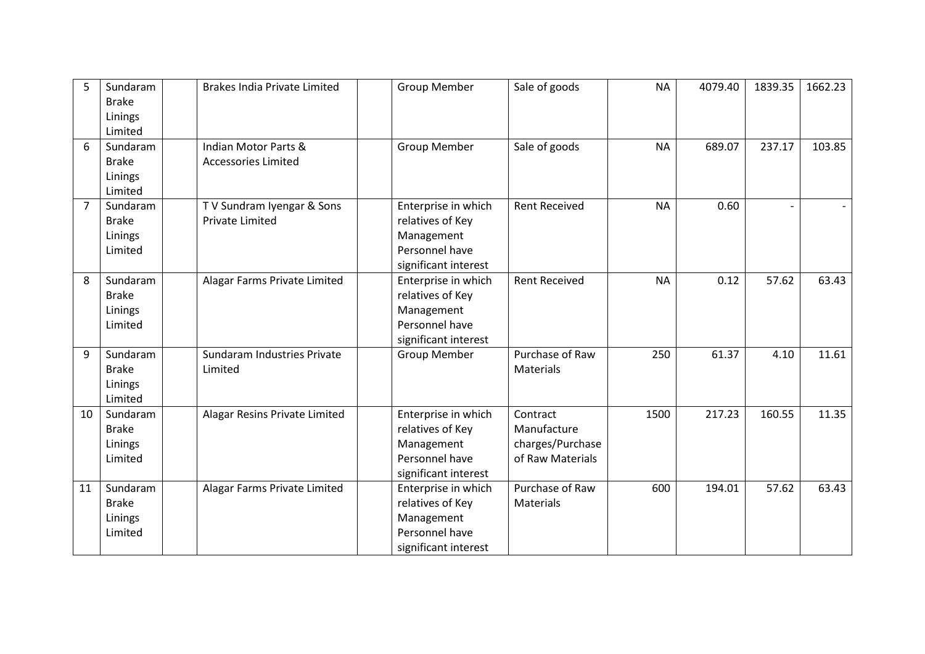| 5              | Sundaram<br><b>Brake</b> | <b>Brakes India Private Limited</b> | <b>Group Member</b>          | Sale of goods        | <b>NA</b> | 4079.40 | 1839.35 | 1662.23 |
|----------------|--------------------------|-------------------------------------|------------------------------|----------------------|-----------|---------|---------|---------|
|                | Linings<br>Limited       |                                     |                              |                      |           |         |         |         |
| 6              | Sundaram                 | Indian Motor Parts &                | <b>Group Member</b>          | Sale of goods        | <b>NA</b> | 689.07  | 237.17  | 103.85  |
|                | <b>Brake</b>             | <b>Accessories Limited</b>          |                              |                      |           |         |         |         |
|                | Linings                  |                                     |                              |                      |           |         |         |         |
|                | Limited                  |                                     |                              |                      |           |         |         |         |
| $\overline{7}$ | Sundaram                 | TV Sundram Iyengar & Sons           | Enterprise in which          | <b>Rent Received</b> | <b>NA</b> | 0.60    |         |         |
|                | <b>Brake</b>             | <b>Private Limited</b>              | relatives of Key             |                      |           |         |         |         |
|                | Linings                  |                                     | Management<br>Personnel have |                      |           |         |         |         |
|                | Limited                  |                                     | significant interest         |                      |           |         |         |         |
| 8              | Sundaram                 | Alagar Farms Private Limited        | Enterprise in which          | <b>Rent Received</b> | <b>NA</b> | 0.12    | 57.62   | 63.43   |
|                | <b>Brake</b>             |                                     | relatives of Key             |                      |           |         |         |         |
|                | Linings                  |                                     | Management                   |                      |           |         |         |         |
|                | Limited                  |                                     | Personnel have               |                      |           |         |         |         |
|                |                          |                                     | significant interest         |                      |           |         |         |         |
| 9              | Sundaram                 | Sundaram Industries Private         | <b>Group Member</b>          | Purchase of Raw      | 250       | 61.37   | 4.10    | 11.61   |
|                | <b>Brake</b>             | Limited                             |                              | Materials            |           |         |         |         |
|                | Linings                  |                                     |                              |                      |           |         |         |         |
|                | Limited                  |                                     |                              |                      |           |         |         |         |
| 10             | Sundaram                 | Alagar Resins Private Limited       | Enterprise in which          | Contract             | 1500      | 217.23  | 160.55  | 11.35   |
|                | <b>Brake</b>             |                                     | relatives of Key             | Manufacture          |           |         |         |         |
|                | Linings                  |                                     | Management                   | charges/Purchase     |           |         |         |         |
|                | Limited                  |                                     | Personnel have               | of Raw Materials     |           |         |         |         |
|                |                          |                                     | significant interest         |                      |           |         |         |         |
| 11             | Sundaram                 | Alagar Farms Private Limited        | Enterprise in which          | Purchase of Raw      | 600       | 194.01  | 57.62   | 63.43   |
|                | <b>Brake</b>             |                                     | relatives of Key             | Materials            |           |         |         |         |
|                | Linings                  |                                     | Management                   |                      |           |         |         |         |
|                | Limited                  |                                     | Personnel have               |                      |           |         |         |         |
|                |                          |                                     | significant interest         |                      |           |         |         |         |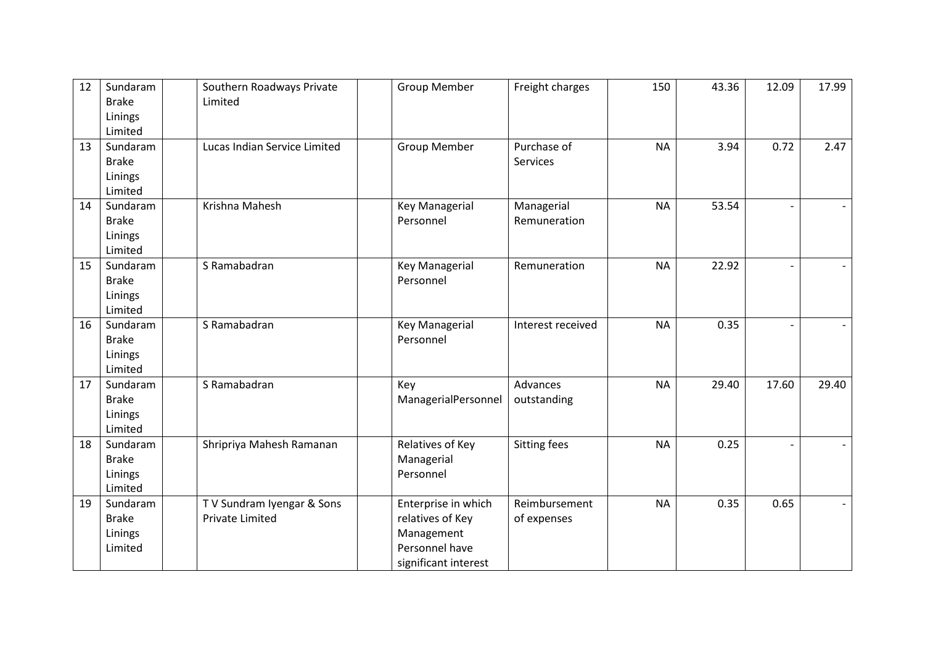| 12 | Sundaram<br><b>Brake</b><br>Linings<br>Limited | Southern Roadways Private<br>Limited                | <b>Group Member</b>                                                                             | Freight charges              | 150       | 43.36 | 12.09 | 17.99 |
|----|------------------------------------------------|-----------------------------------------------------|-------------------------------------------------------------------------------------------------|------------------------------|-----------|-------|-------|-------|
| 13 | Sundaram<br><b>Brake</b><br>Linings<br>Limited | Lucas Indian Service Limited                        | <b>Group Member</b>                                                                             | Purchase of<br>Services      | <b>NA</b> | 3.94  | 0.72  | 2.47  |
| 14 | Sundaram<br><b>Brake</b><br>Linings<br>Limited | Krishna Mahesh                                      | <b>Key Managerial</b><br>Personnel                                                              | Managerial<br>Remuneration   | <b>NA</b> | 53.54 |       |       |
| 15 | Sundaram<br><b>Brake</b><br>Linings<br>Limited | S Ramabadran                                        | <b>Key Managerial</b><br>Personnel                                                              | Remuneration                 | <b>NA</b> | 22.92 |       |       |
| 16 | Sundaram<br><b>Brake</b><br>Linings<br>Limited | S Ramabadran                                        | <b>Key Managerial</b><br>Personnel                                                              | Interest received            | <b>NA</b> | 0.35  |       |       |
| 17 | Sundaram<br><b>Brake</b><br>Linings<br>Limited | S Ramabadran                                        | Key<br>ManagerialPersonnel                                                                      | Advances<br>outstanding      | <b>NA</b> | 29.40 | 17.60 | 29.40 |
| 18 | Sundaram<br><b>Brake</b><br>Linings<br>Limited | Shripriya Mahesh Ramanan                            | Relatives of Key<br>Managerial<br>Personnel                                                     | <b>Sitting fees</b>          | <b>NA</b> | 0.25  |       |       |
| 19 | Sundaram<br><b>Brake</b><br>Linings<br>Limited | TV Sundram Iyengar & Sons<br><b>Private Limited</b> | Enterprise in which<br>relatives of Key<br>Management<br>Personnel have<br>significant interest | Reimbursement<br>of expenses | <b>NA</b> | 0.35  | 0.65  |       |